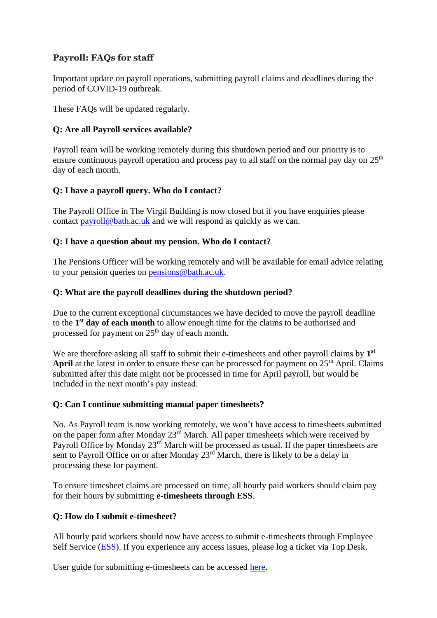# **Payroll: FAQs for staff**

Important update on payroll operations, submitting payroll claims and deadlines during the period of COVID-19 outbreak.

These FAQs will be updated regularly.  

## **Q: Are all Payroll services available?**

Payroll team will be working remotely during this shutdown period and our priority is to ensure continuous payroll operation and process pay to all staff on the normal pay day on  $25<sup>th</sup>$ day of each month.

### **Q: I have a payroll query. Who do I contact?**

The Payroll Office in The Virgil Building is now closed but if you have enquiries please contact [payroll@bath.ac.uk](mailto:payroll@bath.ac.uk) and we will respond as quickly as we can.

### **Q: I have a question about my pension. Who do I contact?**

The Pensions Officer will be working remotely and will be available for email advice relating to your pension queries on [pensions@bath.ac.uk.](mailto:pensions@bath.ac.uk)

#### **Q: What are the payroll deadlines during the shutdown period?**

Due to the current exceptional circumstances we have decided to move the payroll deadline to the **1 st day of each month** to allow enough time for the claims to be authorised and processed for payment on  $25<sup>th</sup>$  day of each month.

We are therefore asking all staff to submit their e-timesheets and other payroll claims by 1<sup>st</sup> **April** at the latest in order to ensure these can be processed for payment on  $25<sup>th</sup>$  April. Claims submitted after this date might not be processed in time for April payroll, but would be included in the next month's pay instead.

#### **Q: Can I continue submitting manual paper timesheets?**

No. As Payroll team is now working remotely, we won't have access to timesheets submitted on the paper form after Monday 23<sup>rd</sup> March. All paper timesheets which were received by Payroll Office by Monday 23<sup>rd</sup> March will be processed as usual. If the paper timesheets are sent to Payroll Office on or after Monday 23<sup>rd</sup> March, there is likely to be a delay in processing these for payment.

To ensure timesheet claims are processed on time, all hourly paid workers should claim pay for their hours by submitting **e-timesheets through ESS**.

## **Q: How do I submit e-timesheet?**

All hourly paid workers should now have access to submit e-timesheets through Employee Self Service [\(ESS\)](https://www.bath.ac.uk/services/employee-self-service-ess/). If you experience any access issues, please log a ticket via Top Desk.

User guide for submitting e-timesheets can be accessed [here.](https://www.bath.ac.uk/publications/using-e-timesheets-on-itrent/attachments/e-timesheet_user_guide_.pdf)